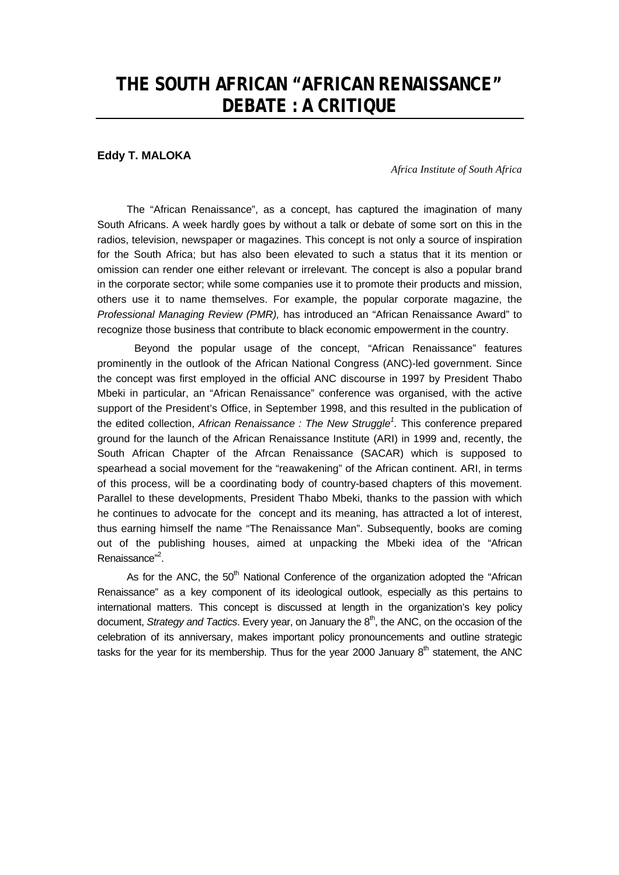# **THE SOUTH AFRICAN "AFRICAN RENAISSANCE" DEBATE : A CRITIQUE**

## **Eddy T. MALOKA**

*Africa Institute of South Africa*

The "African Renaissance", as a concept, has captured the imagination of many South Africans. A week hardly goes by without a talk or debate of some sort on this in the radios, television, newspaper or magazines. This concept is not only a source of inspiration for the South Africa; but has also been elevated to such a status that it its mention or omission can render one either relevant or irrelevant. The concept is also a popular brand in the corporate sector; while some companies use it to promote their products and mission, others use it to name themselves. For example, the popular corporate magazine, the *Professional Managing Review (PMR),* has introduced an "African Renaissance Award" to recognize those business that contribute to black economic empowerment in the country.

Beyond the popular usage of the concept, "African Renaissance" features prominently in the outlook of the African National Congress (ANC)-led government. Since the concept was first employed in the official ANC discourse in 1997 by President Thabo Mbeki in particular, an "African Renaissance" conference was organised, with the active support of the President's Office, in September 1998, and this resulted in the publication of the edited collection, *African Renaissance : The New Struggle<sup>1</sup> .* This conference prepared ground for the launch of the African Renaissance Institute (ARI) in 1999 and, recently, the South African Chapter of the Afrcan Renaissance (SACAR) which is supposed to spearhead a social movement for the "reawakening" of the African continent. ARI, in terms of this process, will be a coordinating body of country-based chapters of this movement. Parallel to these developments, President Thabo Mbeki, thanks to the passion with which he continues to advocate for the concept and its meaning, has attracted a lot of interest, thus earning himself the name "The Renaissance Man". Subsequently, books are coming out of the publishing houses, aimed at unpacking the Mbeki idea of the "African Renaissance"<sup>2</sup>.

As for the ANC, the 50<sup>th</sup> National Conference of the organization adopted the "African Renaissance" as a key component of its ideological outlook, especially as this pertains to international matters. This concept is discussed at length in the organization's key policy document, *Strategy and Tactics*. Every year, on January the 8<sup>th</sup>, the ANC, on the occasion of the celebration of its anniversary, makes important policy pronouncements and outline strategic tasks for the year for its membership. Thus for the year 2000 January  $8<sup>th</sup>$  statement, the ANC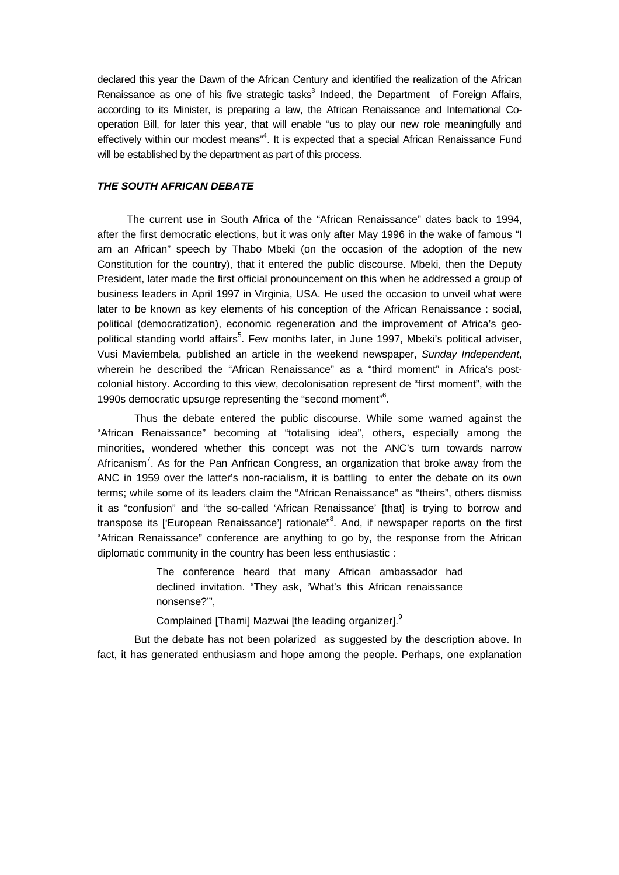declared this year the Dawn of the African Century and identified the realization of the African Renaissance as one of his five strategic tasks<sup>3</sup> Indeed, the Department of Foreign Affairs, according to its Minister, is preparing a law, the African Renaissance and International Cooperation Bill, for later this year, that will enable "us to play our new role meaningfully and effectively within our modest means"<sup>4</sup>. It is expected that a special African Renaissance Fund will be established by the department as part of this process.

## *THE SOUTH AFRICAN DEBATE*

The current use in South Africa of the "African Renaissance" dates back to 1994, after the first democratic elections, but it was only after May 1996 in the wake of famous "I am an African" speech by Thabo Mbeki (on the occasion of the adoption of the new Constitution for the country), that it entered the public discourse. Mbeki, then the Deputy President, later made the first official pronouncement on this when he addressed a group of business leaders in April 1997 in Virginia, USA. He used the occasion to unveil what were later to be known as key elements of his conception of the African Renaissance : social, political (democratization), economic regeneration and the improvement of Africa's geopolitical standing world affairs<sup>5</sup>. Few months later, in June 1997, Mbeki's political adviser, Vusi Maviembela, published an article in the weekend newspaper, *Sunday Independent*, wherein he described the "African Renaissance" as a "third moment" in Africa's postcolonial history. According to this view, decolonisation represent de "first moment", with the 1990s democratic upsurge representing the "second moment"<sup>6</sup>.

Thus the debate entered the public discourse. While some warned against the "African Renaissance" becoming at "totalising idea", others, especially among the minorities, wondered whether this concept was not the ANC's turn towards narrow Africanism<sup>7</sup>. As for the Pan Anfrican Congress, an organization that broke away from the ANC in 1959 over the latter's non-racialism, it is battling to enter the debate on its own terms; while some of its leaders claim the "African Renaissance" as "theirs", others dismiss it as "confusion" and "the so-called 'African Renaissance' [that] is trying to borrow and transpose its ['European Renaissance'] rationale"<sup>8</sup>. And, if newspaper reports on the first "African Renaissance" conference are anything to go by, the response from the African diplomatic community in the country has been less enthusiastic :

> The conference heard that many African ambassador had declined invitation. "They ask, 'What's this African renaissance nonsense?'",

Complained [Thami] Mazwai [the leading organizer].<sup>9</sup>

But the debate has not been polarized as suggested by the description above. In fact, it has generated enthusiasm and hope among the people. Perhaps, one explanation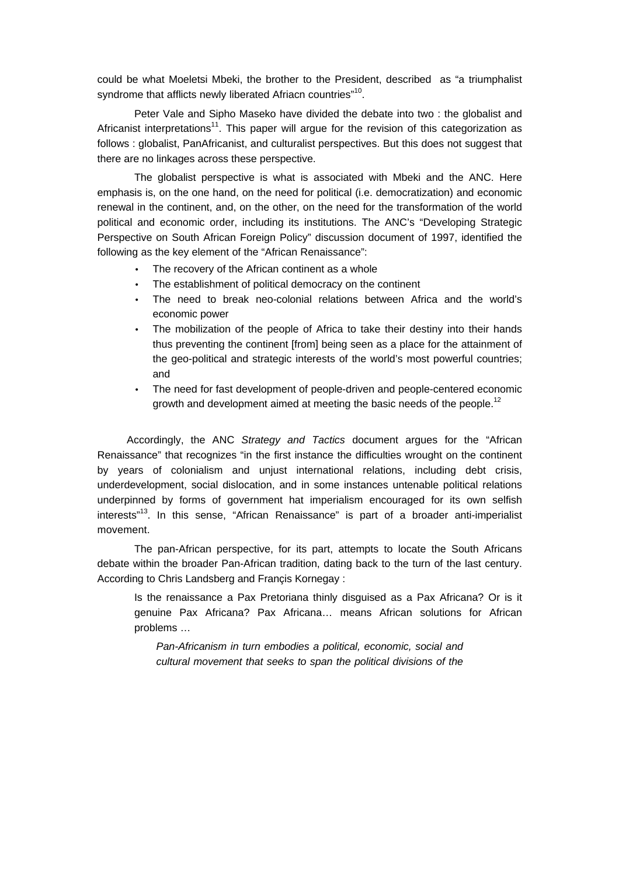could be what Moeletsi Mbeki, the brother to the President, described as "a triumphalist syndrome that afflicts newly liberated Afriacn countries"<sup>10</sup>.

Peter Vale and Sipho Maseko have divided the debate into two : the globalist and Africanist interpretations<sup>11</sup>. This paper will argue for the revision of this categorization as follows : globalist, PanAfricanist, and culturalist perspectives. But this does not suggest that there are no linkages across these perspective.

The globalist perspective is what is associated with Mbeki and the ANC. Here emphasis is, on the one hand, on the need for political (i.e. democratization) and economic renewal in the continent, and, on the other, on the need for the transformation of the world political and economic order, including its institutions. The ANC's "Developing Strategic Perspective on South African Foreign Policy" discussion document of 1997, identified the following as the key element of the "African Renaissance":

- The recovery of the African continent as a whole
- The establishment of political democracy on the continent
- The need to break neo-colonial relations between Africa and the world's economic power
- The mobilization of the people of Africa to take their destiny into their hands thus preventing the continent [from] being seen as a place for the attainment of the geo-political and strategic interests of the world's most powerful countries; and
- The need for fast development of people-driven and people-centered economic growth and development aimed at meeting the basic needs of the people.<sup>12</sup>

Accordingly, the ANC *Strategy and Tactics* document argues for the "African Renaissance" that recognizes "in the first instance the difficulties wrought on the continent by years of colonialism and unjust international relations, including debt crisis, underdevelopment, social dislocation, and in some instances untenable political relations underpinned by forms of government hat imperialism encouraged for its own selfish interests"<sup>13</sup>. In this sense, "African Renaissance" is part of a broader anti-imperialist movement.

The pan-African perspective, for its part, attempts to locate the South Africans debate within the broader Pan-African tradition, dating back to the turn of the last century. According to Chris Landsberg and Françis Kornegay :

Is the renaissance a Pax Pretoriana thinly disguised as a Pax Africana? Or is it genuine Pax Africana? Pax Africana… means African solutions for African problems …

*Pan-Africanism in turn embodies a political, economic, social and cultural movement that seeks to span the political divisions of the*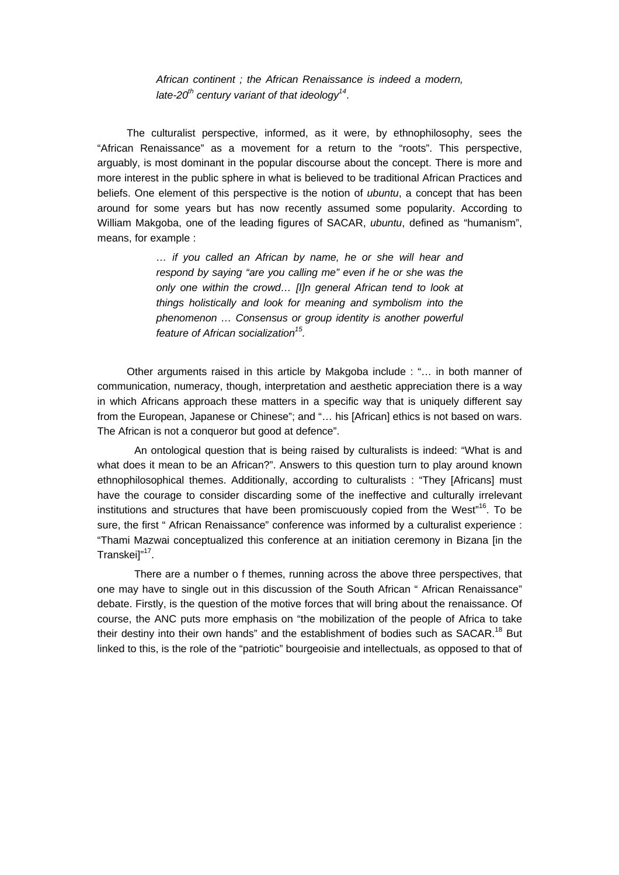*African continent ; the African Renaissance is indeed a modern, late-20th century variant of that ideology<sup>14</sup>* .

The culturalist perspective, informed, as it were, by ethnophilosophy, sees the "African Renaissance" as a movement for a return to the "roots". This perspective, arguably, is most dominant in the popular discourse about the concept. There is more and more interest in the public sphere in what is believed to be traditional African Practices and beliefs. One element of this perspective is the notion of *ubuntu*, a concept that has been around for some years but has now recently assumed some popularity. According to William Makgoba, one of the leading figures of SACAR, *ubuntu*, defined as "humanism", means, for example :

> *… if you called an African by name, he or she will hear and respond by saying "are you calling me" even if he or she was the only one within the crowd… [I]n general African tend to look at things holistically and look for meaning and symbolism into the phenomenon … Consensus or group identity is another powerful feature of African socialization<sup>15</sup> .*

Other arguments raised in this article by Makgoba include : "… in both manner of communication, numeracy, though, interpretation and aesthetic appreciation there is a way in which Africans approach these matters in a specific way that is uniquely different say from the European, Japanese or Chinese"; and "… his [African] ethics is not based on wars. The African is not a conqueror but good at defence".

An ontological question that is being raised by culturalists is indeed: "What is and what does it mean to be an African?". Answers to this question turn to play around known ethnophilosophical themes. Additionally, according to culturalists : "They [Africans] must have the courage to consider discarding some of the ineffective and culturally irrelevant institutions and structures that have been promiscuously copied from the West"<sup>16</sup>. To be sure, the first " African Renaissance" conference was informed by a culturalist experience : "Thami Mazwai conceptualized this conference at an initiation ceremony in Bizana [in the Transkei]"<sup>17</sup>.

There are a number o f themes, running across the above three perspectives, that one may have to single out in this discussion of the South African " African Renaissance" debate. Firstly, is the question of the motive forces that will bring about the renaissance. Of course, the ANC puts more emphasis on "the mobilization of the people of Africa to take their destiny into their own hands" and the establishment of bodies such as SACAR.<sup>18</sup> But linked to this, is the role of the "patriotic" bourgeoisie and intellectuals, as opposed to that of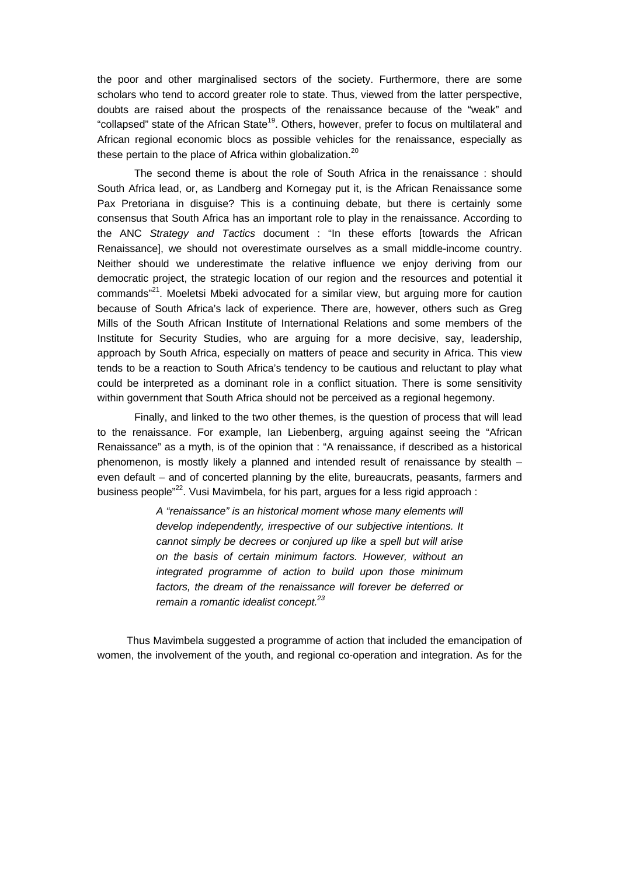the poor and other marginalised sectors of the society. Furthermore, there are some scholars who tend to accord greater role to state. Thus, viewed from the latter perspective, doubts are raised about the prospects of the renaissance because of the "weak" and "collapsed" state of the African State<sup>19</sup>. Others, however, prefer to focus on multilateral and African regional economic blocs as possible vehicles for the renaissance, especially as these pertain to the place of Africa within globalization.<sup>20</sup>

The second theme is about the role of South Africa in the renaissance : should South Africa lead, or, as Landberg and Kornegay put it, is the African Renaissance some Pax Pretoriana in disguise? This is a continuing debate, but there is certainly some consensus that South Africa has an important role to play in the renaissance. According to the ANC *Strategy and Tactics* document : "In these efforts [towards the African Renaissance], we should not overestimate ourselves as a small middle-income country. Neither should we underestimate the relative influence we enjoy deriving from our democratic project, the strategic location of our region and the resources and potential it commands"<sup>21</sup>. Moeletsi Mbeki advocated for a similar view, but arguing more for caution because of South Africa's lack of experience. There are, however, others such as Greg Mills of the South African Institute of International Relations and some members of the Institute for Security Studies, who are arguing for a more decisive, say, leadership, approach by South Africa, especially on matters of peace and security in Africa. This view tends to be a reaction to South Africa's tendency to be cautious and reluctant to play what could be interpreted as a dominant role in a conflict situation. There is some sensitivity within government that South Africa should not be perceived as a regional hegemony.

Finally, and linked to the two other themes, is the question of process that will lead to the renaissance. For example, Ian Liebenberg, arguing against seeing the "African Renaissance" as a myth, is of the opinion that : "A renaissance, if described as a historical phenomenon, is mostly likely a planned and intended result of renaissance by stealth – even default – and of concerted planning by the elite, bureaucrats, peasants, farmers and business people $n^{22}$ . Vusi Mavimbela, for his part, argues for a less rigid approach :

> *A "renaissance" is an historical moment whose many elements will develop independently, irrespective of our subjective intentions. It cannot simply be decrees or conjured up like a spell but will arise on the basis of certain minimum factors. However, without an integrated programme of action to build upon those minimum factors, the dream of the renaissance will forever be deferred or remain a romantic idealist concept.<sup>23</sup>*

Thus Mavimbela suggested a programme of action that included the emancipation of women, the involvement of the youth, and regional co-operation and integration. As for the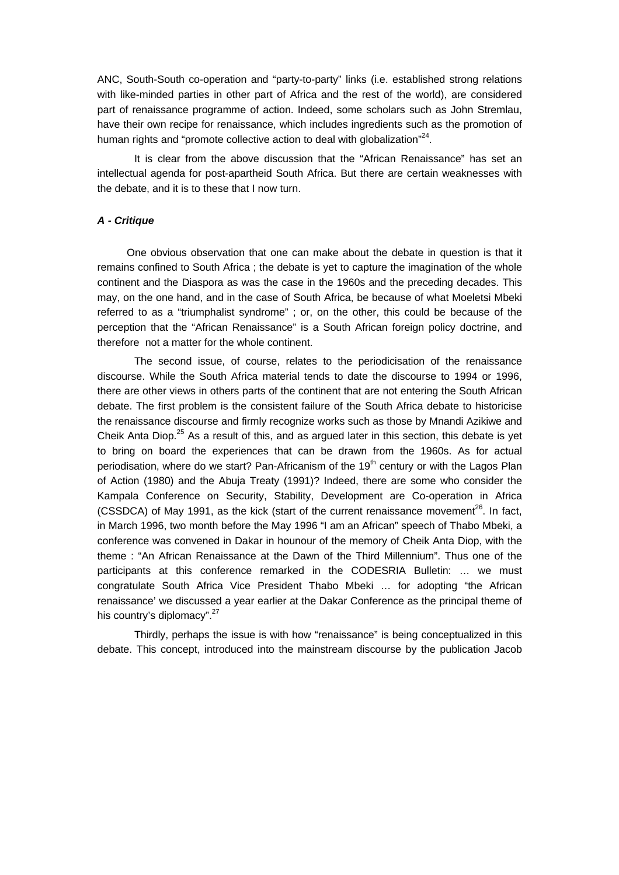ANC, South-South co-operation and "party-to-party" links (i.e. established strong relations with like-minded parties in other part of Africa and the rest of the world), are considered part of renaissance programme of action. Indeed, some scholars such as John Stremlau, have their own recipe for renaissance, which includes ingredients such as the promotion of human rights and "promote collective action to deal with globalization"<sup>24</sup>.

It is clear from the above discussion that the "African Renaissance" has set an intellectual agenda for post-apartheid South Africa. But there are certain weaknesses with the debate, and it is to these that I now turn.

### *A - Critique*

One obvious observation that one can make about the debate in question is that it remains confined to South Africa ; the debate is yet to capture the imagination of the whole continent and the Diaspora as was the case in the 1960s and the preceding decades. This may, on the one hand, and in the case of South Africa, be because of what Moeletsi Mbeki referred to as a "triumphalist syndrome" ; or, on the other, this could be because of the perception that the "African Renaissance" is a South African foreign policy doctrine, and therefore not a matter for the whole continent.

The second issue, of course, relates to the periodicisation of the renaissance discourse. While the South Africa material tends to date the discourse to 1994 or 1996, there are other views in others parts of the continent that are not entering the South African debate. The first problem is the consistent failure of the South Africa debate to historicise the renaissance discourse and firmly recognize works such as those by Mnandi Azikiwe and Cheik Anta Diop.<sup>25</sup> As a result of this, and as argued later in this section, this debate is yet to bring on board the experiences that can be drawn from the 1960s. As for actual periodisation, where do we start? Pan-Africanism of the  $19<sup>th</sup>$  century or with the Lagos Plan of Action (1980) and the Abuja Treaty (1991)? Indeed, there are some who consider the Kampala Conference on Security, Stability, Development are Co-operation in Africa (CSSDCA) of May 1991, as the kick (start of the current renaissance movement<sup>26</sup>. In fact, in March 1996, two month before the May 1996 "I am an African" speech of Thabo Mbeki, a conference was convened in Dakar in hounour of the memory of Cheik Anta Diop, with the theme : "An African Renaissance at the Dawn of the Third Millennium". Thus one of the participants at this conference remarked in the CODESRIA Bulletin: … we must congratulate South Africa Vice President Thabo Mbeki … for adopting "the African renaissance' we discussed a year earlier at the Dakar Conference as the principal theme of his country's diplomacy".<sup>27</sup>

Thirdly, perhaps the issue is with how "renaissance" is being conceptualized in this debate. This concept, introduced into the mainstream discourse by the publication Jacob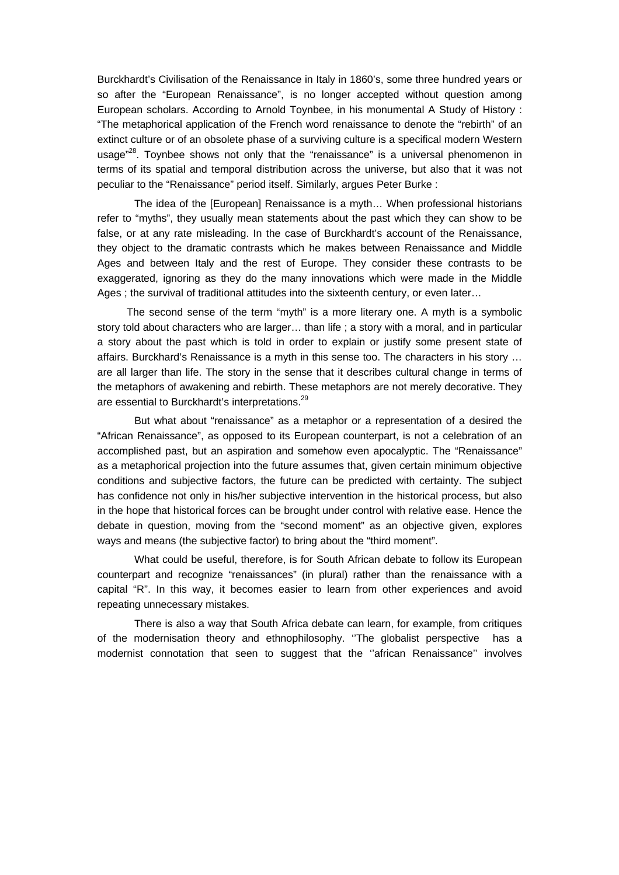Burckhardt's Civilisation of the Renaissance in Italy in 1860's, some three hundred years or so after the "European Renaissance", is no longer accepted without question among European scholars. According to Arnold Toynbee, in his monumental A Study of History : "The metaphorical application of the French word renaissance to denote the "rebirth" of an extinct culture or of an obsolete phase of a surviving culture is a specifical modern Western usage"<sup>28</sup>. Toynbee shows not only that the "renaissance" is a universal phenomenon in terms of its spatial and temporal distribution across the universe, but also that it was not peculiar to the "Renaissance" period itself. Similarly, argues Peter Burke :

The idea of the [European] Renaissance is a myth… When professional historians refer to "myths", they usually mean statements about the past which they can show to be false, or at any rate misleading. In the case of Burckhardt's account of the Renaissance, they object to the dramatic contrasts which he makes between Renaissance and Middle Ages and between Italy and the rest of Europe. They consider these contrasts to be exaggerated, ignoring as they do the many innovations which were made in the Middle Ages ; the survival of traditional attitudes into the sixteenth century, or even later…

The second sense of the term "myth" is a more literary one. A myth is a symbolic story told about characters who are larger… than life ; a story with a moral, and in particular a story about the past which is told in order to explain or justify some present state of affairs. Burckhard's Renaissance is a myth in this sense too. The characters in his story … are all larger than life. The story in the sense that it describes cultural change in terms of the metaphors of awakening and rebirth. These metaphors are not merely decorative. They are essential to Burckhardt's interpretations.<sup>29</sup>

But what about "renaissance" as a metaphor or a representation of a desired the "African Renaissance", as opposed to its European counterpart, is not a celebration of an accomplished past, but an aspiration and somehow even apocalyptic. The "Renaissance" as a metaphorical projection into the future assumes that, given certain minimum objective conditions and subjective factors, the future can be predicted with certainty. The subject has confidence not only in his/her subjective intervention in the historical process, but also in the hope that historical forces can be brought under control with relative ease. Hence the debate in question, moving from the "second moment" as an objective given, explores ways and means (the subjective factor) to bring about the "third moment".

What could be useful, therefore, is for South African debate to follow its European counterpart and recognize "renaissances" (in plural) rather than the renaissance with a capital "R". In this way, it becomes easier to learn from other experiences and avoid repeating unnecessary mistakes.

There is also a way that South Africa debate can learn, for example, from critiques of the modernisation theory and ethnophilosophy. ''The globalist perspective has a modernist connotation that seen to suggest that the ''african Renaissance'' involves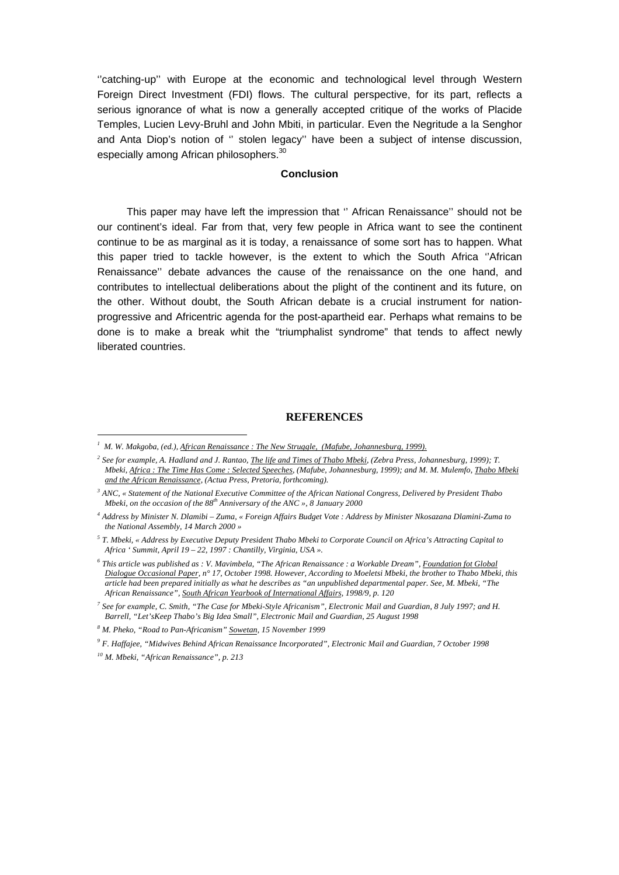''catching-up'' with Europe at the economic and technological level through Western Foreign Direct Investment (FDI) flows. The cultural perspective, for its part, reflects a serious ignorance of what is now a generally accepted critique of the works of Placide Temples, Lucien Levy-Bruhl and John Mbiti, in particular. Even the Negritude a la Senghor and Anta Diop's notion of '' stolen legacy'' have been a subject of intense discussion, especially among African philosophers.<sup>30</sup>

#### **Conclusion**

This paper may have left the impression that '' African Renaissance'' should not be our continent's ideal. Far from that, very few people in Africa want to see the continent continue to be as marginal as it is today, a renaissance of some sort has to happen. What this paper tried to tackle however, is the extent to which the South Africa ''African Renaissance'' debate advances the cause of the renaissance on the one hand, and contributes to intellectual deliberations about the plight of the continent and its future, on the other. Without doubt, the South African debate is a crucial instrument for nationprogressive and Africentric agenda for the post-apartheid ear. Perhaps what remains to be done is to make a break whit the "triumphalist syndrome" that tends to affect newly liberated countries.

#### **REFERENCES**

*2 See for example, A. Hadland and J. Rantao, The life and Times of Thabo Mbeki, (Zebra Press, Johannesburg, 1999); T. Mbeki, Africa : The Time Has Come : Selected Speeches, (Mafube, Johannesburg, 1999); and M. M. Mulemfo, Thabo Mbeki and the African Renaissance, (Actua Press, Pretoria, forthcoming).*

*9 F. Haffajee, "Midwives Behind African Renaissance Incorporated", Electronic Mail and Guardian, 7 October 1998*

-

<sup>&</sup>lt;sup>1</sup> M. W. Makgoba, (ed.), *African Renaissance : The New Struggle, (Mafube, Johannesburg, 1999).* 

*<sup>3</sup> ANC, « Statement of the National Executive Committee of the African National Congress, Delivered by President Thabo Mbeki, on the occasion of the 88th Anniversary of the ANC », 8 January 2000*

*<sup>4</sup> Address by Minister N. Dlamibi – Zuma, « Foreign Affairs Budget Vote : Address by Minister Nkosazana Dlamini-Zuma to the National Assembly, 14 March 2000 »*

*<sup>5</sup> T. Mbeki, « Address by Executive Deputy President Thabo Mbeki to Corporate Council on Africa's Attracting Capital to Africa ' Summit, April 19 – 22, 1997 : Chantilly, Virginia, USA ».*

*<sup>6</sup> This article was published as : V. Mavimbela, "The African Renaissance : a Workable Dream", Foundation fot Global Dialogue Occasional Paper, n° 17, October 1998. However, According to Moeletsi Mbeki, the brother to Thabo Mbeki, this article had been prepared initially as what he describes as "an unpublished departmental paper. See, M. Mbeki, "The African Renaissance", South African Yearbook of International Affairs, 1998/9, p. 120*

*<sup>7</sup> See for example, C. Smith, "The Case for Mbeki-Style Africanism", Electronic Mail and Guardian, 8 July 1997; and H. Barrell, "Let'sKeep Thabo's Big Idea Small", Electronic Mail and Guardian, 25 August 1998*

*<sup>8</sup> M. Pheko, "Road to Pan-Africanism" Sowetan, 15 November 1999*

*<sup>10</sup> M. Mbeki, "African Renaissance", p. 213*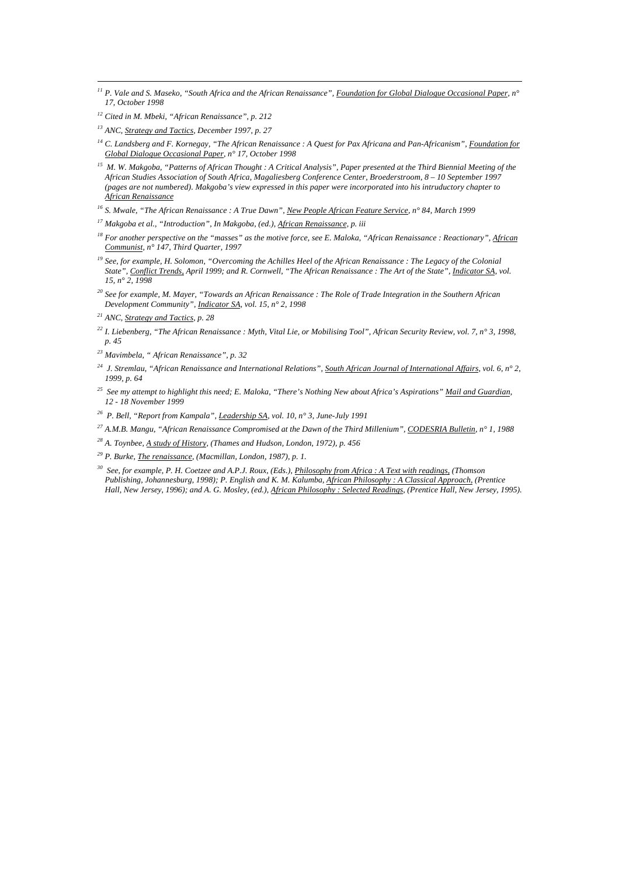- *<sup>11</sup> P. Vale and S. Maseko, "South Africa and the African Renaissance", Foundation for Global Dialogue Occasional Paper, n° 17, October 1998*
- *<sup>12</sup> Cited in M. Mbeki, "African Renaissance", p. 212*

-

- *<sup>13</sup> ANC, Strategy and Tactics, December 1997, p. 27*
- *<sup>14</sup> C. Landsberg and F. Kornegay, "The African Renaissance : A Quest for Pax Africana and Pan-Africanism", Foundation for Global Dialogue Occasional Paper, n° 17, October 1998*
- *<sup>15</sup> M. W. Makgoba, "Patterns of African Thought : A Critical Analysis", Paper presented at the Third Biennial Meeting of the African Studies Association of South Africa, Magaliesberg Conference Center, Broederstroom, 8 – 10 September 1997 (pages are not numbered). Makgoba's view expressed in this paper were incorporated into his intruductory chapter to African Renaissance*
- *<sup>16</sup> S. Mwale, "The African Renaissance : A True Dawn", New People African Feature Service, n° 84, March 1999*
- *<sup>17</sup> Makgoba et al., "Introduction", In Makgoba, (ed.), African Renaissance, p. iii*
- *<sup>18</sup> For another perspective on the "masses" as the motive force, see E. Maloka, "African Renaissance : Reactionary", African Communist, n° 147, Third Quarter, 1997*
- *<sup>19</sup> See, for example, H. Solomon, "Overcoming the Achilles Heel of the African Renaissance : The Legacy of the Colonial State", Conflict Trends, April 1999; and R. Cornwell, "The African Renaissance : The Art of the State", Indicator SA, vol. 15, n° 2, 1998*
- *<sup>20</sup> See for example, M. Mayer, "Towards an African Renaissance : The Role of Trade Integration in the Southern African Development Community", Indicator SA, vol. 15, n° 2, 1998*
- *<sup>21</sup> ANC, Strategy and Tactics, p. 28*
- *<sup>22</sup> I. Liebenberg, "The African Renaissance : Myth, Vital Lie, or Mobilising Tool", African Security Review, vol. 7, n° 3, 1998, p. 45*
- *<sup>23</sup> Mavimbela, " African Renaissance", p. 32*
- *<sup>24</sup> J. Stremlau, "African Renaissance and International Relations", South African Journal of International Affairs, vol. 6, n° 2, 1999, p. 64*
- *<sup>25</sup> See my attempt to highlight this need; E. Maloka, "There's Nothing New about Africa's Aspirations" Mail and Guardian, 12 - 18 November 1999*
- *<sup>26</sup> P. Bell, "Report from Kampala", Leadership SA, vol. 10, n° 3, June-July 1991*
- *<sup>27</sup> A.M.B. Mangu, "African Renaissance Compromised at the Dawn of the Third Millenium", CODESRIA Bulletin, n° 1, 1988*
- *<sup>28</sup> A. Toynbee, A study of History, (Thames and Hudson, London, 1972), p. 456*

*<sup>29</sup> P. Burke, The renaissance, (Macmillan, London, 1987), p. 1.*

*<sup>30</sup> See, for example, P. H. Coetzee and A.P.J. Roux, (Eds.), Philosophy from Africa : A Text with readings, (Thomson Publishing, Johannesburg, 1998); P. English and K. M. Kalumba, African Philosophy : A Classical Approach, (Prentice Hall, New Jersey, 1996); and A. G. Mosley, (ed.), African Philosophy : Selected Readings, (Prentice Hall, New Jersey, 1995).*